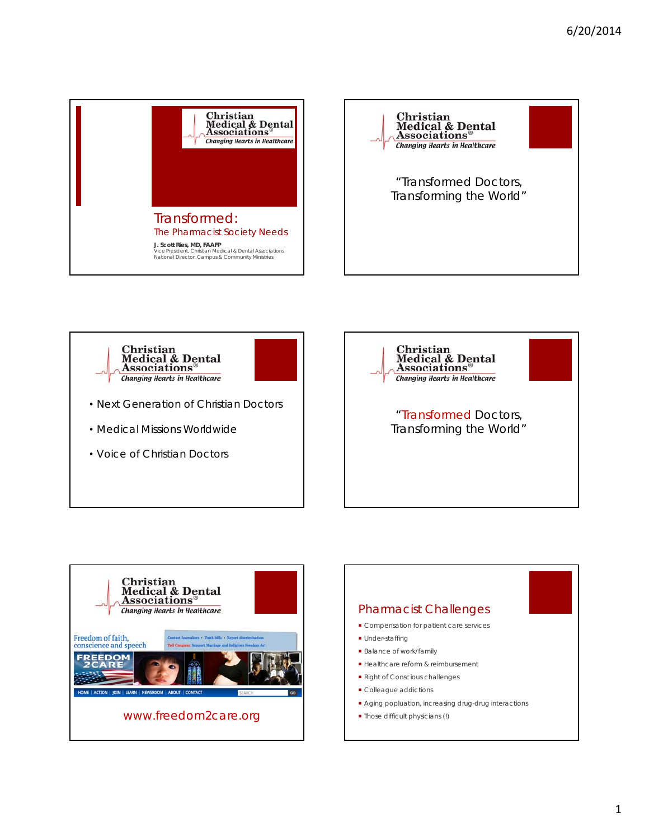







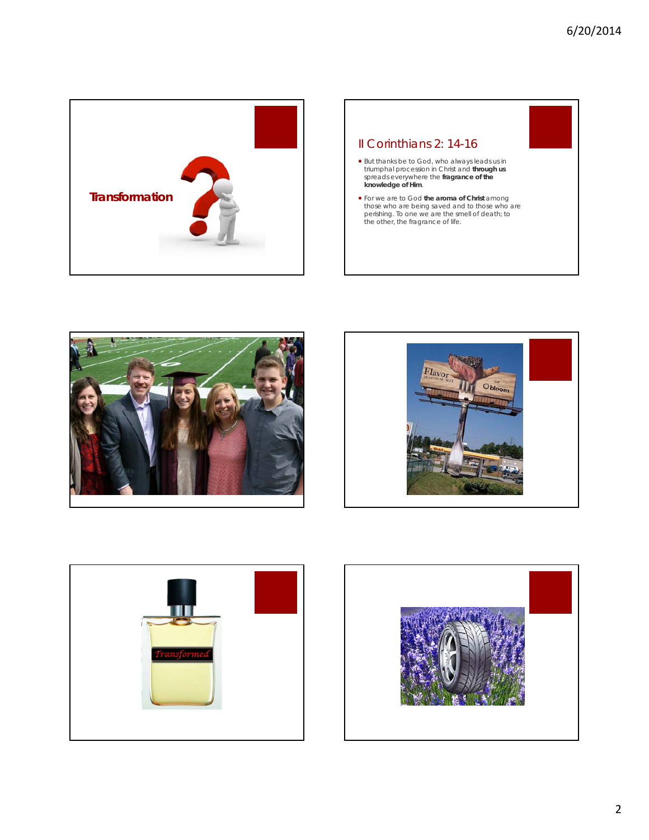